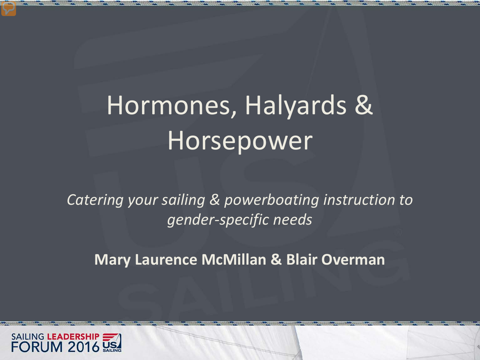### Hormones, Halyards & Horsepower

*Catering your sailing & powerboating instruction to gender-specific needs*

**Mary Laurence McMillan & Blair Overman**

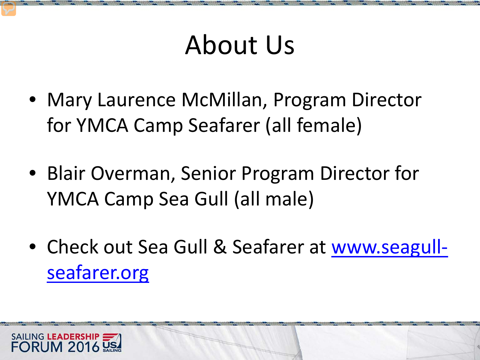### About Us

- Mary Laurence McMillan, Program Director for YMCA Camp Seafarer (all female)
- Blair Overman, Senior Program Director for YMCA Camp Sea Gull (all male)
- Check out Sea Gull & Seafarer at [www.seagull](http://www.seagull-seafarer.org/)[seafarer.org](http://www.seagull-seafarer.org/)

SAILING LEADERSHIP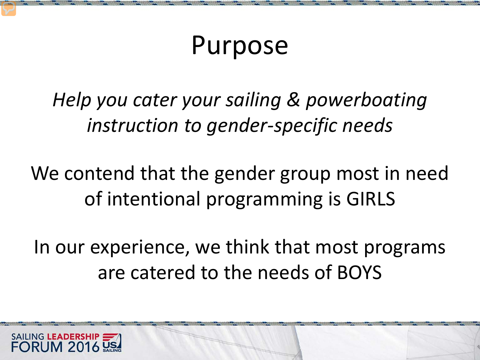### Purpose

*Help you cater your sailing & powerboating instruction to gender-specific needs*

We contend that the gender group most in need of intentional programming is GIRLS

In our experience, we think that most programs are catered to the needs of BOYS

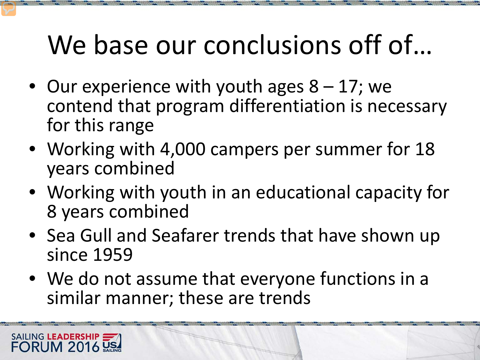### We base our conclusions off of...

- Our experience with youth ages  $8 17$ ; we contend that program differentiation is necessary for this range
- Working with 4,000 campers per summer for 18 years combined
- Working with youth in an educational capacity for 8 years combined
- Sea Gull and Seafarer trends that have shown up since 1959
- We do not assume that everyone functions in a similar manner; these are trends

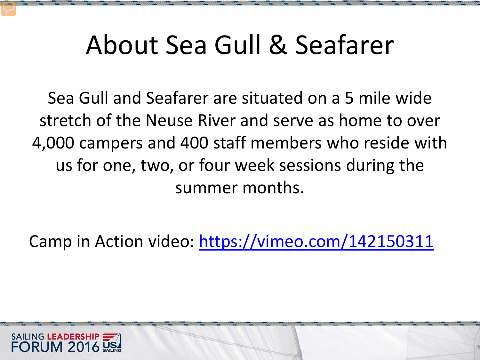### About Sea Gull & Seafarer

Sea Gull and Seafarer are situated on a 5 mile wide stretch of the Neuse River and serve as home to over 4,000 campers and 400 staff members who reside with us for one, two, or four week sessions during the summer months.

Camp in Action video:<https://vimeo.com/142150311>

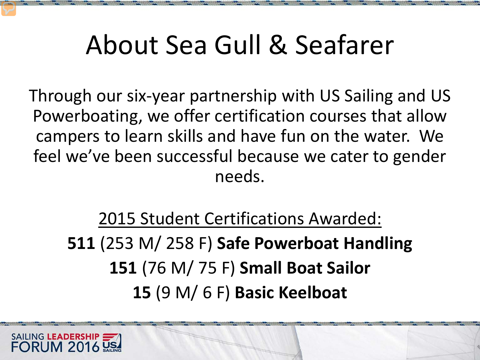### About Sea Gull & Seafarer

Through our six-year partnership with US Sailing and US Powerboating, we offer certification courses that allow campers to learn skills and have fun on the water. We feel we've been successful because we cater to gender needs.

2015 Student Certifications Awarded: (253 M/ 258 F) **Safe Powerboat Handling** (76 M/ 75 F) **Small Boat Sailor**  (9 M/ 6 F) **Basic Keelboat**

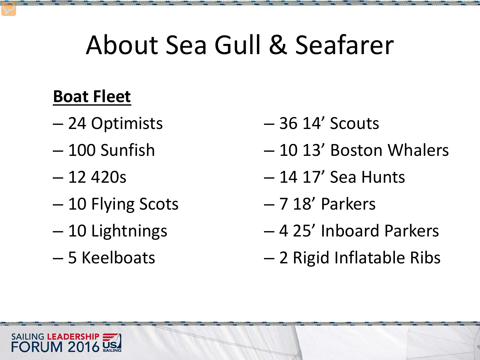### About Sea Gull & Seafarer

#### **Boat Fleet**

- 24 Optimists
- 100 Sunfish
- 12 420s
- 10 Flying Scots
- 10 Lightnings
- 5 Keelboats
- 36 14' Scouts
- 10 13' Boston Whalers
- 14 17' Sea Hunts
- 7 18' Parkers
- 4 25' Inboard Parkers
- 2 Rigid Inflatable Ribs

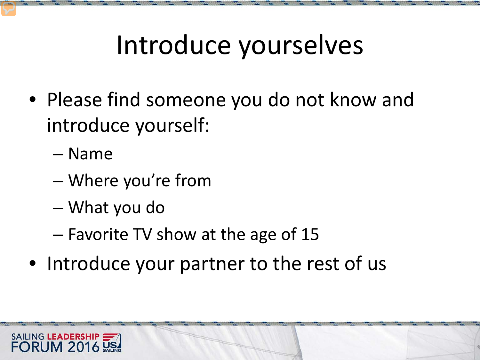### Introduce yourselves

- Please find someone you do not know and introduce yourself:
	- Name
	- Where you're from
	- What you do
	- Favorite TV show at the age of 15
- Introduce your partner to the rest of us

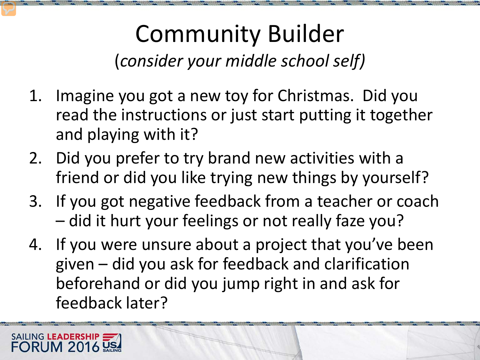#### Community Builder (*consider your middle school self)*

- 1. Imagine you got a new toy for Christmas. Did you read the instructions or just start putting it together and playing with it?
- 2. Did you prefer to try brand new activities with a friend or did you like trying new things by yourself?
- 3. If you got negative feedback from a teacher or coach – did it hurt your feelings or not really faze you?
- 4. If you were unsure about a project that you've been given – did you ask for feedback and clarification beforehand or did you jump right in and ask for feedback later?

SAILING LEADERSHIP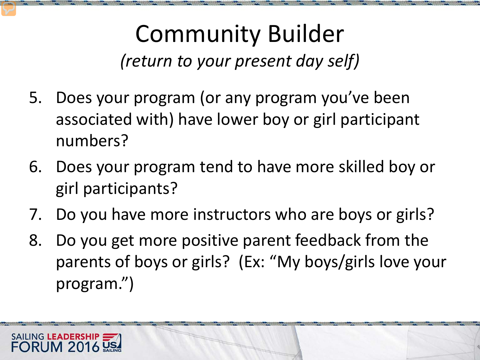#### Community Builder *(return to your present day self)*

- 5. Does your program (or any program you've been associated with) have lower boy or girl participant numbers?
- 6. Does your program tend to have more skilled boy or girl participants?
- 7. Do you have more instructors who are boys or girls?
- 8. Do you get more positive parent feedback from the parents of boys or girls? (Ex: "My boys/girls love your program.")

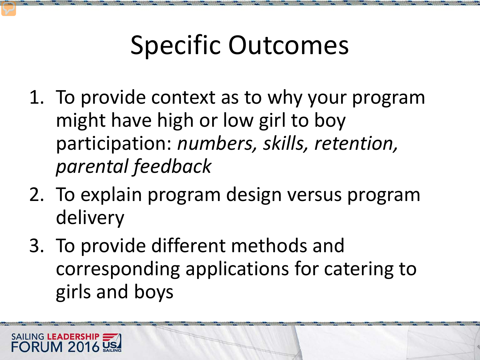### Specific Outcomes

- 1. To provide context as to why your program might have high or low girl to boy participation: *numbers, skills, retention, parental feedback*
- 2. To explain program design versus program delivery
- 3. To provide different methods and corresponding applications for catering to girls and boys

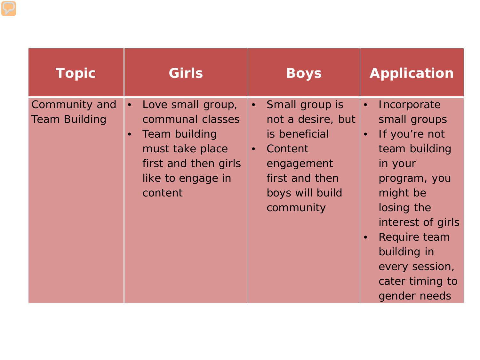| <b>Topic</b>                          | <b>Girls</b>                                                                                                                                                | <b>Boys</b>                                                                                                                                               | <b>Application</b>                                                                                                                                                                                                                                    |
|---------------------------------------|-------------------------------------------------------------------------------------------------------------------------------------------------------------|-----------------------------------------------------------------------------------------------------------------------------------------------------------|-------------------------------------------------------------------------------------------------------------------------------------------------------------------------------------------------------------------------------------------------------|
| Community and<br><b>Team Building</b> | Love small group,<br>$\bullet$<br>communal classes<br>Team building<br>$\bullet$<br>must take place<br>first and then girls<br>like to engage in<br>content | Small group is<br>$\bullet$<br>not a desire, but<br>is beneficial<br>Content<br>$\bullet$<br>engagement<br>first and then<br>boys will build<br>community | Incorporate<br>$\bullet$<br>small groups<br>If you're not<br>$\bullet$<br>team building<br>in your<br>program, you<br>might be<br>losing the<br>interest of girls<br>Require team<br>building in<br>every session,<br>cater timing to<br>gender needs |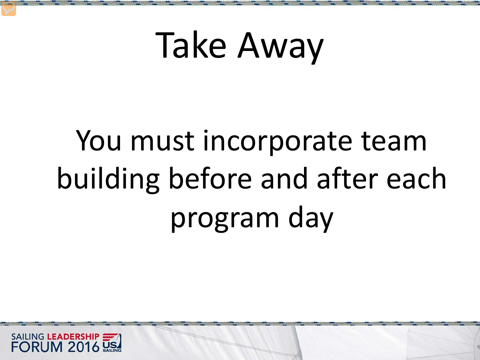## You must incorporate team building before and after each program day

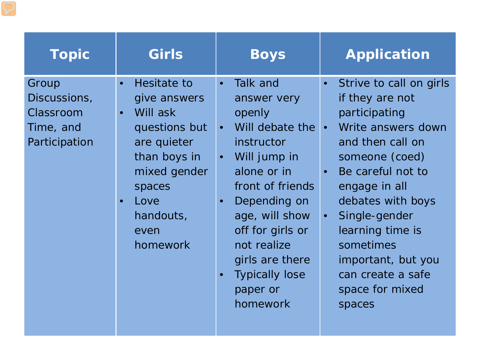| <b>Topic</b>                                                     | Girls                                                                                                                                                                                             | <b>Boys</b>                                                                                                                                                                                                                                                                                                                              | <b>Application</b>                                                                                                                                                                                                                                                                                                                                  |
|------------------------------------------------------------------|---------------------------------------------------------------------------------------------------------------------------------------------------------------------------------------------------|------------------------------------------------------------------------------------------------------------------------------------------------------------------------------------------------------------------------------------------------------------------------------------------------------------------------------------------|-----------------------------------------------------------------------------------------------------------------------------------------------------------------------------------------------------------------------------------------------------------------------------------------------------------------------------------------------------|
| Group<br>Discussions,<br>Classroom<br>Time, and<br>Participation | Hesitate to<br>$\bullet$<br>give answers<br>Will ask<br>$\bullet$<br>questions but<br>are quieter<br>than boys in<br>mixed gender<br>spaces<br>Love<br>$\bullet$<br>handouts,<br>even<br>homework | Talk and<br>$\bullet$<br>answer very<br>openly<br>Will debate the <b>.</b><br>$\bullet$<br>instructor<br>Will jump in<br>$\bullet$<br>alone or in<br>front of friends<br>Depending on<br>$\bullet$<br>age, will show<br>off for girls or<br>not realize<br>girls are there<br><b>Typically lose</b><br>$\bullet$<br>paper or<br>homework | Strive to call on girls<br>$\bullet$<br>if they are not<br>participating<br>Write answers down<br>and then call on<br>someone (coed)<br>Be careful not to<br>$\bullet$<br>engage in all<br>debates with boys<br>Single-gender<br>$\bullet$<br>learning time is<br>sometimes<br>important, but you<br>can create a safe<br>space for mixed<br>spaces |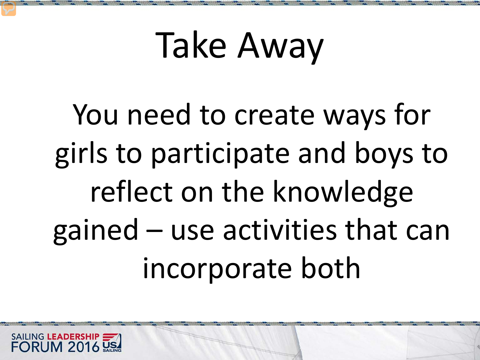You need to create ways for girls to participate and boys to reflect on the knowledge gained – use activities that can incorporate both

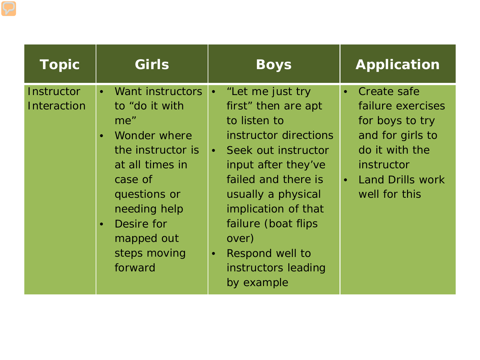| Topic                     | <b>Girls</b>                                                                                                                                                                                                                               | <b>Boys</b>                                                                                                                                                                                                                                                                                                                         | <b>Application</b>                                                                                                                                                            |
|---------------------------|--------------------------------------------------------------------------------------------------------------------------------------------------------------------------------------------------------------------------------------------|-------------------------------------------------------------------------------------------------------------------------------------------------------------------------------------------------------------------------------------------------------------------------------------------------------------------------------------|-------------------------------------------------------------------------------------------------------------------------------------------------------------------------------|
| Instructor<br>Interaction | Want instructors<br>$\bullet$<br>to "do it with<br>me"<br>Wonder where<br>$\bullet$<br>the instructor is<br>at all times in<br>case of<br>questions or<br>needing help<br>Desire for<br>$\bullet$<br>mapped out<br>steps moving<br>forward | "Let me just try<br>$\bullet$<br>first" then are apt<br>to listen to<br>instructor directions<br>Seek out instructor<br>$\bullet$ .<br>input after they've<br>failed and there is<br>usually a physical<br>implication of that<br>failure (boat flips<br>over)<br>Respond well to<br>$\bullet$<br>instructors leading<br>by example | Create safe<br>$\bullet$<br>failure exercises<br>for boys to try<br>and for girls to<br>do it with the<br>instructor<br><b>Land Drills work</b><br>$\bullet$<br>well for this |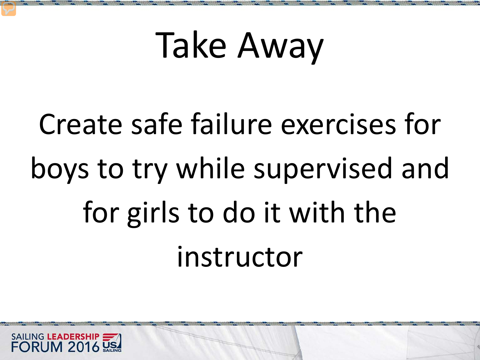# Create safe failure exercises for boys to try while supervised and for girls to do it with the instructor

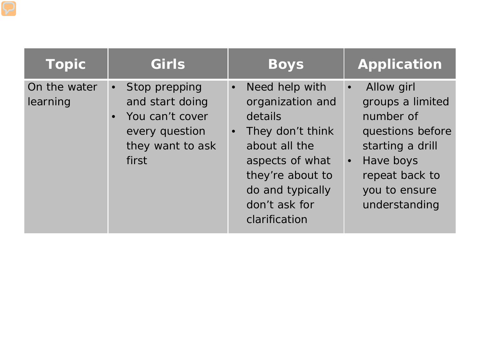| <b>Topic</b>             | Girls                                                                                                                        | <b>Boys</b>                                                                                                                                                                                               | <b>Application</b>                                                                                                                                                             |
|--------------------------|------------------------------------------------------------------------------------------------------------------------------|-----------------------------------------------------------------------------------------------------------------------------------------------------------------------------------------------------------|--------------------------------------------------------------------------------------------------------------------------------------------------------------------------------|
| On the water<br>learning | Stop prepping<br>$\bullet$<br>and start doing<br>You can't cover<br>$\bullet$<br>every question<br>they want to ask<br>first | Need help with<br>$\bullet$<br>organization and<br>details<br>They don't think<br>$\bullet$<br>about all the<br>aspects of what<br>they're about to<br>do and typically<br>don't ask for<br>clarification | Allow girl<br>$\bullet$<br>groups a limited<br>number of<br>questions before<br>starting a drill<br>Have boys<br>$\bullet$<br>repeat back to<br>you to ensure<br>understanding |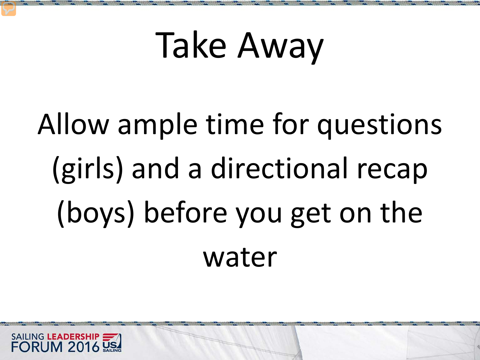# Allow ample time for questions (girls) and a directional recap (boys) before you get on the water

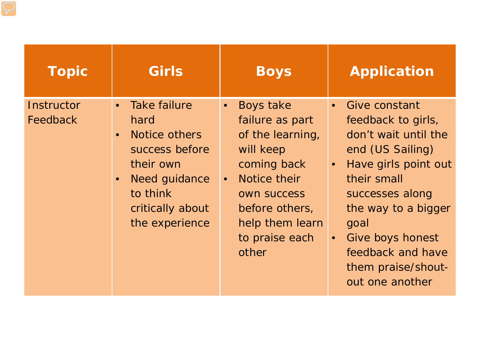| <b>Topic</b>           | <b>Girls</b>                                                                                                                                                | <b>Boys</b>                                                                                                                                                                                     | <b>Application</b>                                                                                                                                                                                                                                                                     |
|------------------------|-------------------------------------------------------------------------------------------------------------------------------------------------------------|-------------------------------------------------------------------------------------------------------------------------------------------------------------------------------------------------|----------------------------------------------------------------------------------------------------------------------------------------------------------------------------------------------------------------------------------------------------------------------------------------|
| Instructor<br>Feedback | <b>Take failure</b><br>hard<br>Notice others<br>$\bullet$<br>success before<br>their own<br>Need guidance<br>to think<br>critically about<br>the experience | Boys take<br>failure as part<br>of the learning,<br>will keep<br>coming back<br>Notice their<br>$\bullet$<br><b>OWN SUCCESS</b><br>before others,<br>help them learn<br>to praise each<br>other | • Give constant<br>feedback to girls,<br>don't wait until the<br>end (US Sailing)<br>Have girls point out<br>$\bullet$<br>their small<br>successes along<br>the way to a bigger<br>goal<br>Give boys honest<br>$\bullet$<br>feedback and have<br>them praise/shout-<br>out one another |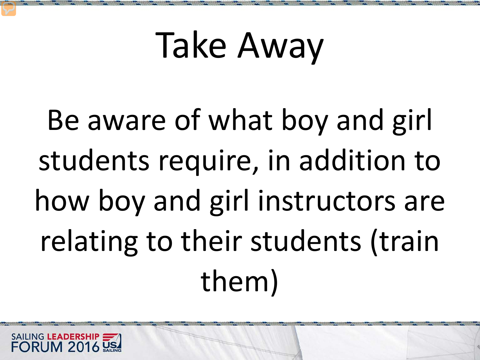Be aware of what boy and girl students require, in addition to how boy and girl instructors are relating to their students (train them)

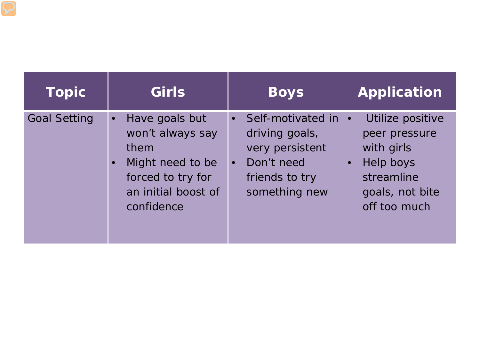| <b>Topic</b>        | Girls                                                                                                                                              | <b>Boys</b>                                                                                                                               | <b>Application</b>                                                                                            |
|---------------------|----------------------------------------------------------------------------------------------------------------------------------------------------|-------------------------------------------------------------------------------------------------------------------------------------------|---------------------------------------------------------------------------------------------------------------|
| <b>Goal Setting</b> | Have goals but<br>$\bullet$<br>won't always say<br>them<br>Might need to be<br>$\bullet$<br>forced to try for<br>an initial boost of<br>confidence | Self-motivated in $\cdot$<br>$\bullet$<br>driving goals,<br>very persistent<br>Don't need<br>$\bullet$<br>friends to try<br>something new | Utilize positive<br>peer pressure<br>with girls<br>Help boys<br>streamline<br>goals, not bite<br>off too much |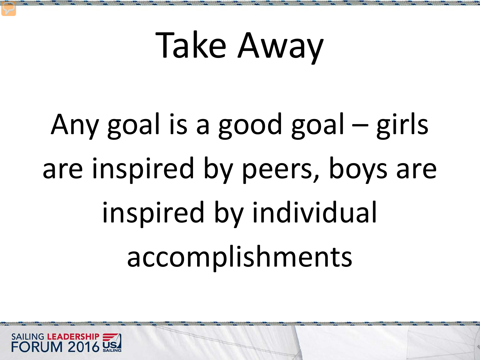Any goal is a good goal – girls are inspired by peers, boys are inspired by individual accomplishments

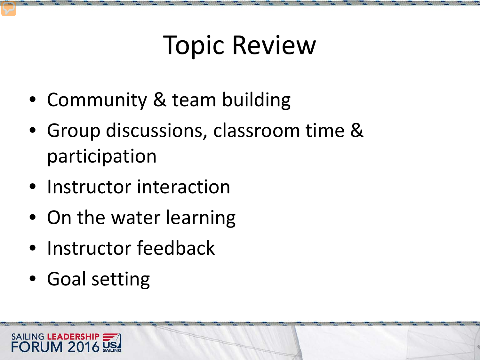### Topic Review

- Community & team building
- Group discussions, classroom time & participation
- Instructor interaction
- On the water learning
- Instructor feedback
- Goal setting

SAILING LEADERSHIP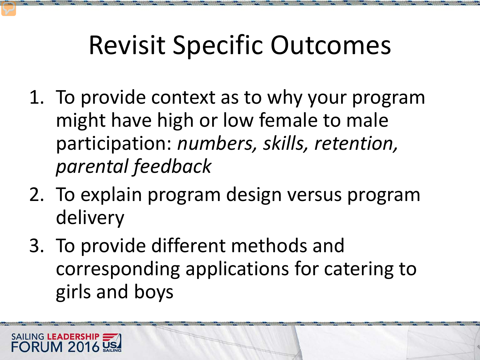### Revisit Specific Outcomes

- 1. To provide context as to why your program might have high or low female to male participation: *numbers, skills, retention, parental feedback*
- 2. To explain program design versus program delivery
- 3. To provide different methods and corresponding applications for catering to girls and boys